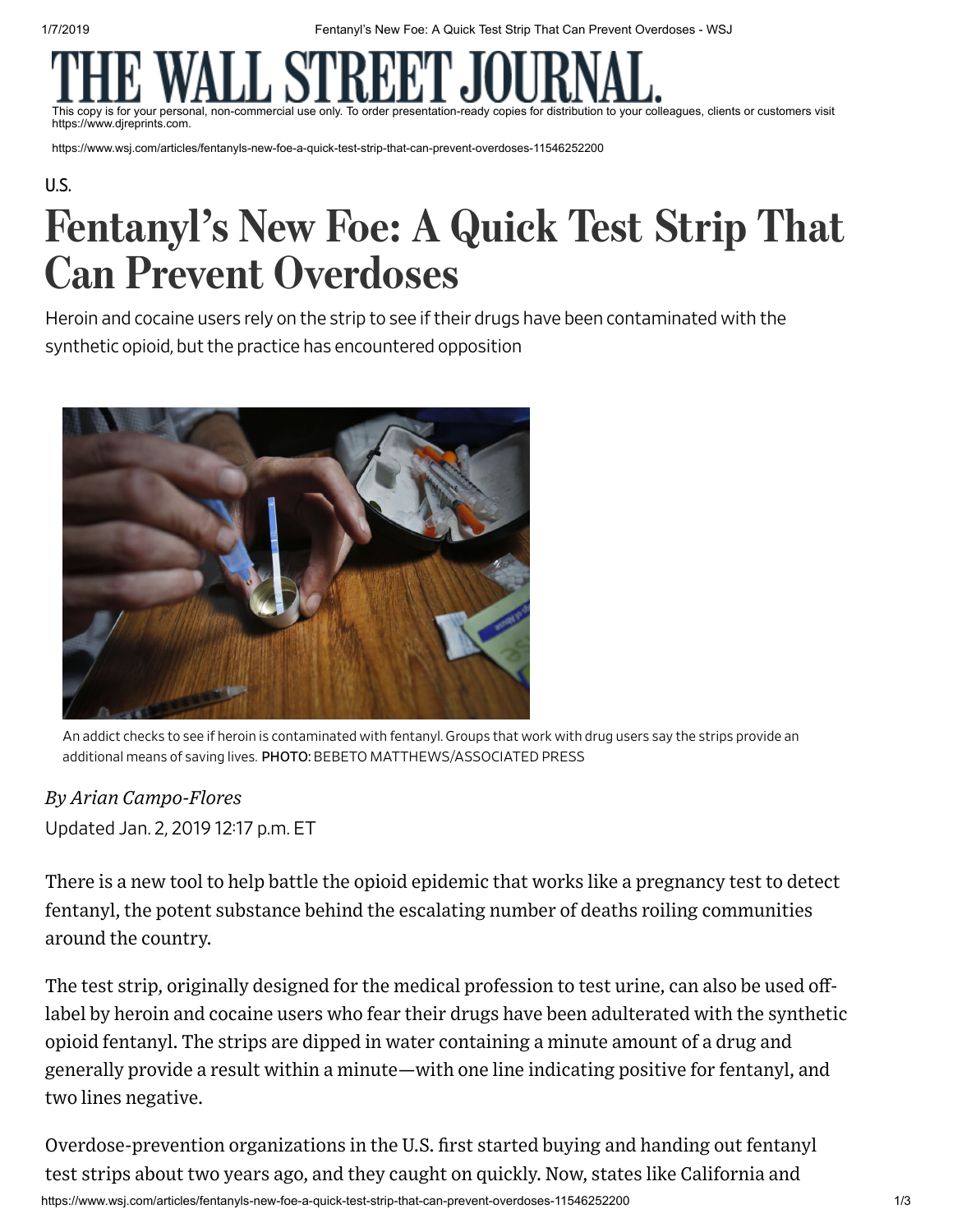1/7/2019 Fentanyl's New Foe: A Quick Test Strip That Can Prevent Overdoses - WSJ

This copy is for your personal, non-commercial use only. To order presentation-ready copies for distribution to your colleagues, clients or customers visit https://www.djreprints.com.

https://www.wsj.com/articles/fentanyls-new-foe-a-quick-test-strip-that-can-prevent-overdoses-11546252200

### [U.S.](https://www.wsj.com/news/us)

# Fentanyl's New Foe: A Quick Test Strip That Can Prevent Overdoses

Heroin and cocaine users rely on the strip to see iftheir drugs have been contaminated with the synthetic opioid, but the practice has encountered opposition



An addict checks to see if heroin is contaminated with fentanyl. Groups that work with drug users say the strips provide an additional means of saving lives. PHOTO: BEBETO MATTHEWS/ASSOCIATED PRESS

## Updated Jan. 2, 2019 1217 p.m. ET *By Arian Campo-Flores*

There is a new tool to help battle the opioid [epidemic](https://www.wsj.com/articles/deaths-level-offand-even-declinein-some-opioid-hotspots-11546088400?mod=article_inline) that works like a pregnancy test to detect fentanyl, the potent substance behind the escalating number of deaths roiling communities around the country.

The test strip, originally designed for the medical profession to test urine, can also be used offlabel by heroin and cocaine users who fear their drugs have been adulterated with the synthetic opioid fentanyl. The strips are dipped in water containing a minute amount of a drug and generally provide a result within a minute—with one line indicating positive for fentanyl, and two lines negative.

Overdose-prevention organizations in the U.S. first started buying and handing out fentanyl test strips about two years ago, and they caught on quickly. Now, states like California and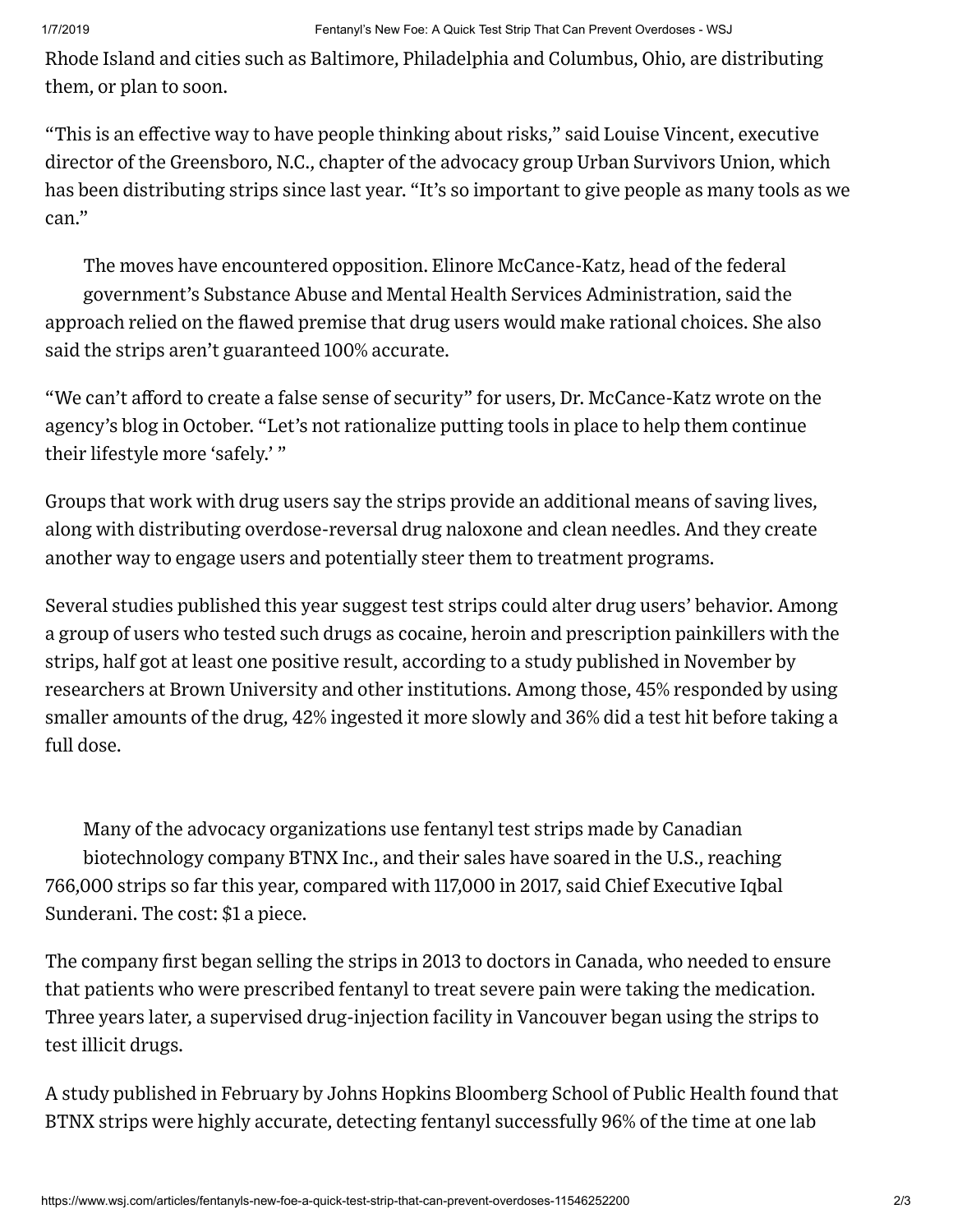Rhode Island and cities such as Baltimore, Philadelphia and Columbus, Ohio, are distributing them, or plan to soon.

"This is an effective way to have people thinking about risks," said Louise Vincent, executive director of the Greensboro, N.C., chapter of the advocacy group Urban Survivors Union, which has been distributing strips since last year. "It's so important to give people as many tools as we can."

The moves have encountered opposition. Elinore McCance-Katz, head of the federal government's Substance Abuse and Mental Health Services Administration, said the approach relied on the flawed premise that drug users would make rational choices. She also said the strips aren't guaranteed 100% accurate.

"We can't afford to create a false sense of security" for users, Dr. [McCance-Katz](https://blog.samhsa.gov/2018/10/03/for-beating-the-opioid-crisis-america-has-better-weapons-than-fentanyl-test-strips?mod=article_inline) wrote on the agency's blog in October. "Let's not rationalize putting tools in place to help them continue their lifestyle more 'safely.' "

Groups that work with drug users say the strips provide an additional means of saving lives, along with distributing overdose-reversal drug naloxone and clean needles. And they create another way to engage users and potentially steer them to treatment programs.

Several studies published this year suggest test strips could alter drug users' behavior. Among a group of users who tested such drugs as cocaine, heroin and prescription painkillers with the strips, half got at least one positive result, according to a study published in November by researchers at Brown University and other institutions. Among those, 45% responded by using smaller amounts of the drug, 42% ingested it more slowly and 36% did a test hit before taking a full dose.

Many of the advocacy organizations use fentanyl test strips made by Canadian biotechnology company BTNX Inc., and their sales have soared in the U.S., reaching 766,000 strips so far this year, compared with 117,000 in 2017, said Chief Executive Iqbal Sunderani. The cost: \$1 a piece.

The company first began selling the strips in 2013 to doctors in Canada, who needed to ensure that patients who were prescribed fentanyl to treat severe pain were taking the medication. Three years later, a supervised drug-injection facility in Vancouver began using the strips to test illicit drugs.

A study published in February by Johns Hopkins Bloomberg School of Public Health found that BTNX strips were highly accurate, detecting fentanyl successfully 96% of the time at one lab